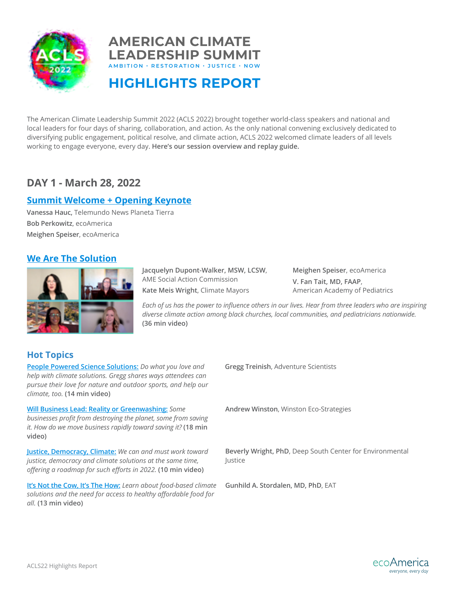



**HIGHLIGHTS REPORT**

The American Climate Leadership Summit 2022 (ACLS 2022) brought together world-class speakers and national and local leaders for four days of sharing, collaboration, and action. As the only national convening exclusively dedicated to diversifying public engagement, political resolve, and climate action, ACLS 2022 welcomed climate leaders of all levels working to engage everyone, every day. **Here's our session overview and replay guide.**

# **DAY 1 - March 28, 2022**

# **[Summit Welcome + Opening Keynote](https://youtu.be/g98a_zXd7Ts)**

**Vanessa Hauc,** Telemundo News Planeta Tierra **Bob Perkowitz**, ecoAmerica **Meighen Speiser**, ecoAmerica

# **[We Are The Solution](https://youtu.be/HI8u1XS_Ezc)**



**Jacquelyn Dupont-Walker, MSW, LCSW**, AME Social Action Commission **Kate Meis Wright**, Climate Mayors

**Meighen Speiser**, ecoAmerica **V. Fan Tait, MD, FAAP**, American Academy of Pediatrics

*Each of us has the power to influence others in our lives. Hear from three leaders who are inspiring diverse climate action among black churches, local communities, and pediatricians nationwide.*  **(36 min video)**

# **Hot Topics**

**[People Powered Science Solutions:](https://youtu.be/893hUWbfs7A)** *Do what you love and* **Gregg Treinish**, Adventure Scientists *help with climate solutions. Gregg shares ways attendees can pursue their love for nature and outdoor sports, and help our climate, too.* **(14 min video)**

**[Will Business Lead: Reality or Greenwashing:](https://youtu.be/-Tzip82H1N8)** *Some businesses profit from destroying the planet, some from saving it. How do we move business rapidly toward saving it?* **(18 min video)**

**[Justice, Democracy, Climate:](https://youtu.be/QTDjV9J3hxw)** *We can and must work toward justice, democracy and climate solutions at the same time, offering a roadmap for such efforts in 2022.* **(10 min video)**

**[It's Not the Cow, It's The How:](https://youtu.be/9pae6EqKuvo)** *Learn about food-based climate solutions and the need for access to healthy affordable food for all.* **(13 min video)**

**Andrew Winston**, Winston Eco-Strategies

**Beverly Wright, PhD**, Deep South Center for Environmental Justice

**Gunhild A. Stordalen, MD, PhD**, EAT

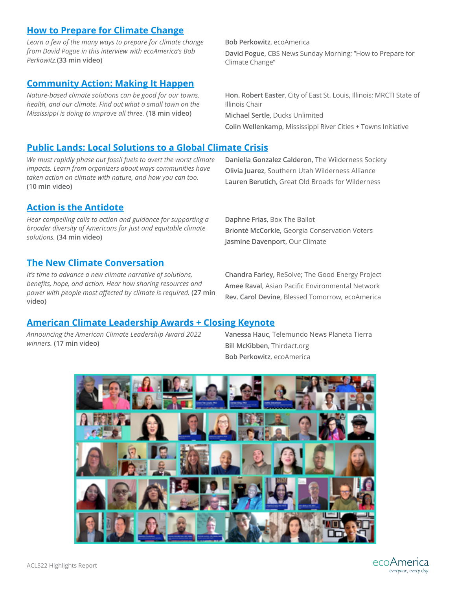## **[How to Prepare for Climate Change](https://youtu.be/9pae6EqKuvo)**

*Learn a few of the many ways to prepare for climate change from David Pogue in this interview with ecoAmerica's Bob Perkowitz.***(33 min video)**

# **[Community Action: Making It Happen](https://youtu.be/vbuOtQsSrfs)**

*Nature-based climate solutions can be good for our towns, health, and our climate. Find out what a small town on the Mississippi is doing to improve all three.* **(18 min video)**

#### **Bob Perkowitz**, ecoAmerica

**David Pogue**, CBS News Sunday Morning; "How to Prepare for Climate Change"

**Hon. Robert Easter**, City of East St. Louis, Illinois; MRCTI State of Illinois Chair

**Michael Sertle**, Ducks Unlimited

**Colin Wellenkamp**, Mississippi River Cities + Towns Initiative

# **[Public Lands: Local Solutions to a Global Climate Crisis](https://youtu.be/bAykHX4OUx0)**

*We must rapidly phase out fossil fuels to avert the worst climate impacts. Learn from organizers about ways communities have taken action on climate with nature, and how you can too.* **(10 min video)**

# **[Action is the Antidote](https://youtu.be/7bMctNFRbjs)**

*Hear compelling calls to action and guidance for supporting a broader diversity of Americans for just and equitable climate solutions.* **(34 min video)**

# **[The New Climate Conversation](https://youtu.be/udAtEnH39Ig)**

*It's time to advance a new climate narrative of solutions, benefits, hope, and action. Hear how sharing resources and power with people most affected by climate is required.* **(27 min video)**

**Daniella Gonzalez Calderon**, The Wilderness Society **Olivia Juarez**, Southern Utah Wilderness Alliance **Lauren Berutich**, Great Old Broads for Wilderness

**Daphne Frias**, Box The Ballot **Brionté McCorkle**, Georgia Conservation Voters **Jasmine Davenport**, Our Climate

**Chandra Farley**, ReSolve; The Good Energy Project **Amee Raval**, Asian Pacific Environmental Network **Rev. Carol Devine,** Blessed Tomorrow, ecoAmerica

## **[American Climate Leadership Awards + Closing Keynote](https://youtu.be/lVmo36RFyOs)**

*Announcing the American Climate Leadership Award 2022 winners.* **(17 min video)**

**Vanessa Hauc**, Telemundo News Planeta Tierra **Bill McKibben**, Thirdact.org **Bob Perkowitz**, ecoAmerica



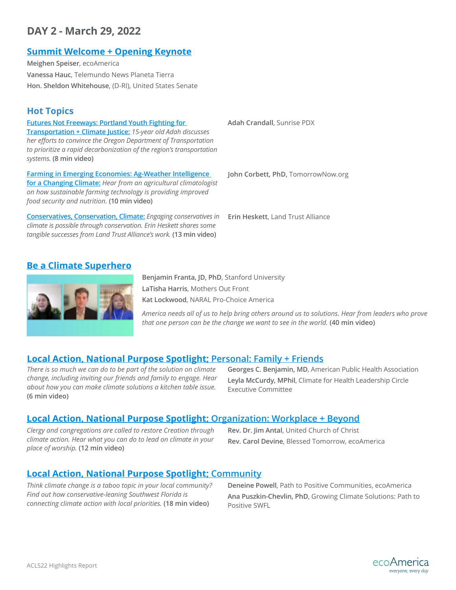# **DAY 2 - March 29, 2022**

## **[Summit Welcome + Opening Keynote](https://youtu.be/9usAua5VZ88)**

**Meighen Speiser**, ecoAmerica **Vanessa Hauc**, Telemundo News Planeta Tierra **Hon. Sheldon Whitehouse**, (D-RI), United States Senate

# **Hot Topics**

**Futures Not Freeways: [Portland Youth Fighting for](https://youtu.be/iCU_FJDgSoM) Adah Crandall**, Sunrise PDX **[Transportation + Climate Justice:](https://youtu.be/iCU_FJDgSoM)** *15-year old Adah discusses her efforts to convince the Oregon Department of Transportation to prioritize a rapid decarbonization of the region's transportation systems.* **(8 min video)**

**[Farming in Emerging Economies:](https://youtu.be/NDG5F946lGw) Ag-Weather Intelligence [for a Changing Climate:](https://youtu.be/NDG5F946lGw)** *Hear from an agricultural climatologist on how sustainable farming technology is providing improved food security and nutrition.* **(10 min video)**

**[Conservatives, Conservation, Climate:](https://youtu.be/w1SrGju6Ixw)** *Engaging conservatives in climate is possible through conservation. Erin Heskett shares some tangible successes from Land Trust Alliance's work.* **(13 min video)**

**John Corbett, PhD,** TomorrowNow.org

**Erin Heskett**, Land Trust Alliance

## **[Be a Climate Superhero](https://youtu.be/KQqA7QMJ5lw)**



**Benjamin Franta, JD, PhD**, Stanford University **LaTisha Harris**, Mothers Out Front **Kat Lockwood**, NARAL Pro-Choice America

*America needs all of us to help bring others around us to solutions. Hear from leaders who prove that one person can be the change we want to see in the world.* **(40 min video)**

## **[Local Action, National Purpose Spotlight;](https://youtu.be/2r7ZggArPkM) Personal: Family + Friends**

*There is so much we can do to be part of the solution on climate change, including inviting our friends and family to engage. Hear about how you can make climate solutions a kitchen table issue.* **(6 min video)**

**Georges C. Benjamin, MD**, American Public Health Association **Leyla McCurdy, MPhil**, Climate for Health Leadership Circle Executive Committee

# **[Local Action, National Purpose Spotlight;](https://youtu.be/-sNa37of-6U) Organization: Workplace + Beyond**

*Clergy and congregations are called to restore Creation through climate action. Hear what you can do to lead on climate in your place of worship.* **(12 min video)**

**Rev. Dr. Jim Antal**, United Church of Christ **Rev. Carol Devine**, Blessed Tomorrow, ecoAmerica

## **[Local Action, National Purpose Spotlight;](https://youtu.be/Ncq0sKUW7mU) Community**

*Think climate change is a taboo topic in your local community? Find out how conservative-leaning Southwest Florida is connecting climate action with local priorities.* **(18 min video)**

**Deneine Powell**, Path to Positive Communities, ecoAmerica **Ana Puszkin-Chevlin, PhD**, Growing Climate Solutions: Path to Positive SWFL